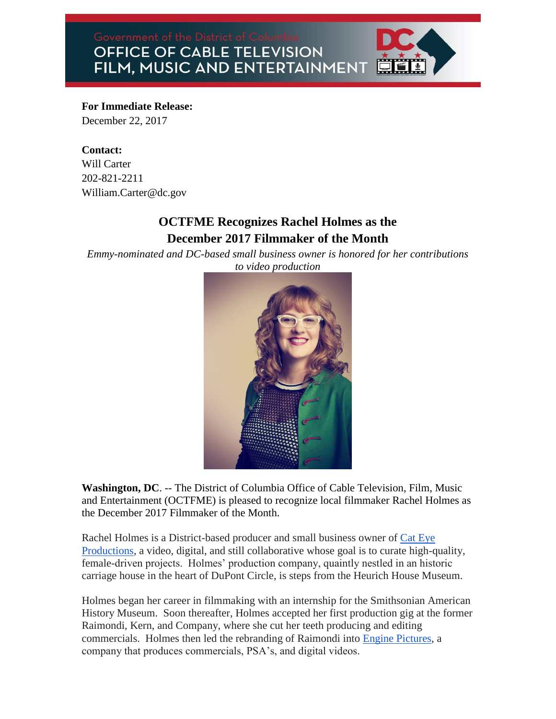OFFICE OF CABLE TELEVISION FILM, MUSIC AND ENTERTAINMENT



## **For Immediate Release:**

December 22, 2017

## **Contact:**

Will Carter 202-821-2211 William.Carter@dc.gov

## **OCTFME Recognizes Rachel Holmes as the December 2017 Filmmaker of the Month**

*Emmy-nominated and DC-based small business owner is honored for her contributions to video production* 



**Washington, DC**. -- The District of Columbia Office of Cable Television, Film, Music and Entertainment (OCTFME) is pleased to recognize local filmmaker Rachel Holmes as the December 2017 Filmmaker of the Month.

Rachel Holmes is a District-based producer and small business owner of [Cat Eye](http://www.cateyepro.com/)  [Productions,](http://www.cateyepro.com/) a video, digital, and still collaborative whose goal is to curate high-quality, female-driven projects. Holmes' production company, quaintly nestled in an historic carriage house in the heart of DuPont Circle, is steps from the Heurich House Museum.

Holmes began her career in filmmaking with an internship for the Smithsonian American History Museum. Soon thereafter, Holmes accepted her first production gig at the former Raimondi, Kern, and Company, where she cut her teeth producing and editing commercials. Holmes then led the rebranding of Raimondi into [Engine Pictures,](https://enginepictures.com/) a company that produces commercials, PSA's, and digital videos.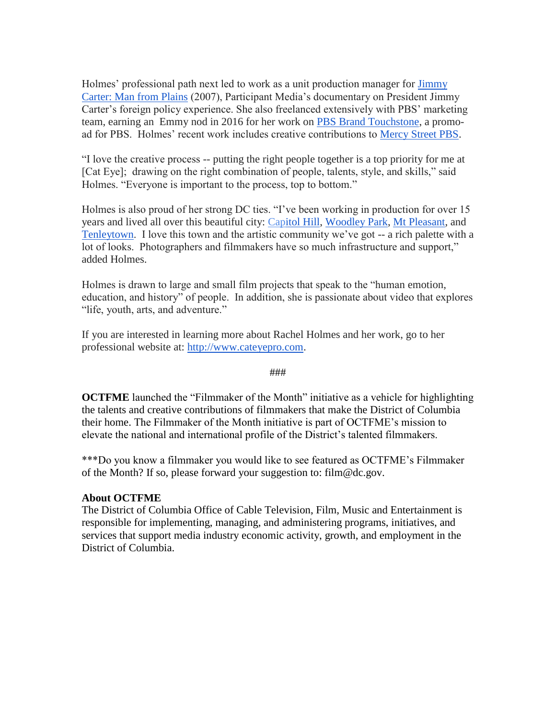Holmes' professional path next led to work as a unit production manager for **Jimmy** [Carter: Man from Plains](http://www.imdb.com/title/tt0913958/) (2007), Participant Media's documentary on President Jimmy Carter's foreign policy experience. She also freelanced extensively with PBS' marketing team, earning an Emmy nod in 2016 for her work on [PBS Brand Touchstone,](https://vimeo.com/149767061) a promoad for PBS. Holmes' recent work includes creative contributions to [Mercy Street PBS.](http://www.pbs.org/mercy-street/home/)

"I love the creative process -- putting the right people together is a top priority for me at [Cat Eye]; drawing on the right combination of people, talents, style, and skills," said Holmes. "Everyone is important to the process, top to bottom."

Holmes is also proud of her strong DC ties. "I've been working in production for over 15 years and lived all over this beautiful city: C[apitol Hill,](https://washington.org/topics/capitol-hill) [Woodley Park,](https://washington.org/dc-neighborhoods/woodley-park) [Mt Pleasant,](https://washington.org/visit-dc/things-see-do-mount-pleasant) and [Tenleytown.](https://tenleytowndc.org/) I love this town and the artistic community we've got -- a rich palette with a lot of looks. Photographers and filmmakers have so much infrastructure and support," added Holmes.

Holmes is drawn to large and small film projects that speak to the "human emotion, education, and history" of people. In addition, she is passionate about video that explores "life, youth, arts, and adventure."

If you are interested in learning more about Rachel Holmes and her work, go to her professional website at: [http://www.cateyepro.com.](http://www.cateyepro.com/)

###

**OCTFME** launched the "Filmmaker of the Month" initiative as a vehicle for highlighting the talents and creative contributions of filmmakers that make the District of Columbia their home. The Filmmaker of the Month initiative is part of OCTFME's mission to elevate the national and international profile of the District's talented filmmakers.

\*\*\*Do you know a filmmaker you would like to see featured as OCTFME's Filmmaker of the Month? If so, please forward your suggestion to: film@dc.gov.

## **About OCTFME**

The District of Columbia Office of Cable Television, Film, Music and Entertainment is responsible for implementing, managing, and administering programs, initiatives, and services that support media industry economic activity, growth, and employment in the District of Columbia.